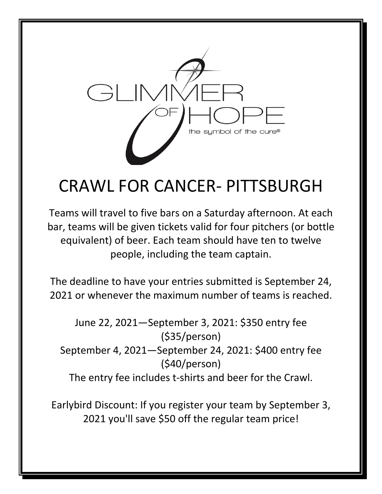

## CRAWL FOR CANCER- PITTSBURGH

Teams will travel to five bars on a Saturday afternoon. At each bar, teams will be given tickets valid for four pitchers (or bottle equivalent) of beer. Each team should have ten to twelve people, including the team captain.

The deadline to have your entries submitted is September 24, 2021 or whenever the maximum number of teams is reached.

June 22, 2021—September 3, 2021: \$350 entry fee (\$35/person) September 4, 2021—September 24, 2021: \$400 entry fee (\$40/person) The entry fee includes t-shirts and beer for the Crawl.

Earlybird Discount: If you register your team by September 3, 2021 you'll save \$50 off the regular team price!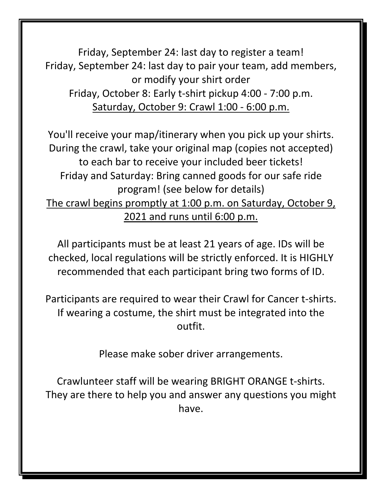Friday, September 24: last day to register a team! Friday, September 24: last day to pair your team, add members, or modify your shirt order Friday, October 8: Early t-shirt pickup 4:00 - 7:00 p.m. Saturday, October 9: Crawl 1:00 - 6:00 p.m.

You'll receive your map/itinerary when you pick up your shirts. During the crawl, take your original map (copies not accepted) to each bar to receive your included beer tickets! Friday and Saturday: Bring canned goods for our safe ride program! (see below for details) The crawl begins promptly at 1:00 p.m. on Saturday, October 9, 2021 and runs until 6:00 p.m.

All participants must be at least 21 years of age. IDs will be checked, local regulations will be strictly enforced. It is HIGHLY recommended that each participant bring two forms of ID.

Participants are required to wear their Crawl for Cancer t-shirts. If wearing a costume, the shirt must be integrated into the outfit.

Please make sober driver arrangements.

Crawlunteer staff will be wearing BRIGHT ORANGE t-shirts. They are there to help you and answer any questions you might have.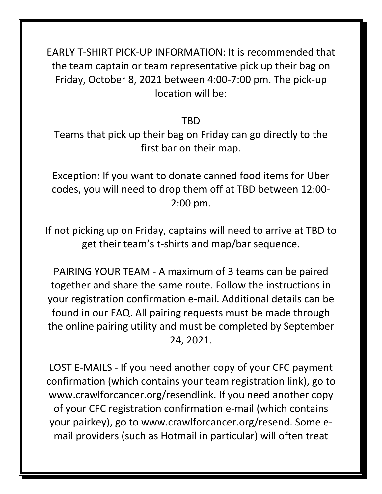EARLY T-SHIRT PICK-UP INFORMATION: It is recommended that the team captain or team representative pick up their bag on Friday, October 8, 2021 between 4:00-7:00 pm. The pick-up location will be:

TBD

Teams that pick up their bag on Friday can go directly to the first bar on their map.

Exception: If you want to donate canned food items for Uber codes, you will need to drop them off at TBD between 12:00- 2:00 pm.

If not picking up on Friday, captains will need to arrive at TBD to get their team's t-shirts and map/bar sequence.

PAIRING YOUR TEAM - A maximum of 3 teams can be paired together and share the same route. Follow the instructions in your registration confirmation e-mail. Additional details can be found in our FAQ. All pairing requests must be made through the online pairing utility and must be completed by September 24, 2021.

LOST E-MAILS - If you need another copy of your CFC payment confirmation (which contains your team registration link), go to www.crawlforcancer.org/resendlink. If you need another copy of your CFC registration confirmation e-mail (which contains your pairkey), go to www.crawlforcancer.org/resend. Some email providers (such as Hotmail in particular) will often treat